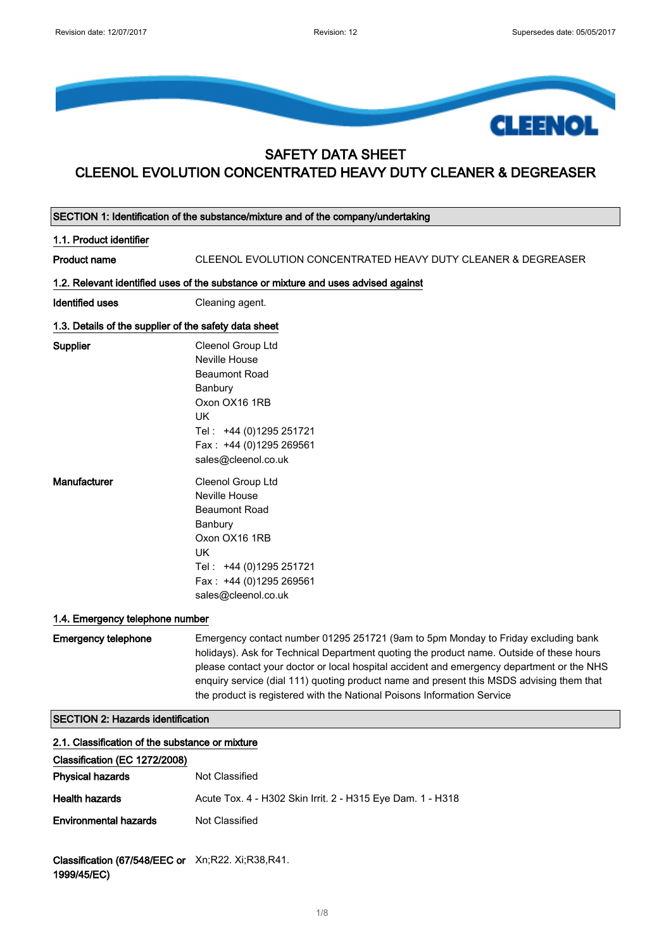

## SAFETY DATA SHEET CLEENOL EVOLUTION CONCENTRATED HEAVY DUTY CLEANER & DEGREASER

|                                                       | SECTION 1: Identification of the substance/mixture and of the company/undertaking                                                                                                                                                                                                                                                                                                                                                                 |
|-------------------------------------------------------|---------------------------------------------------------------------------------------------------------------------------------------------------------------------------------------------------------------------------------------------------------------------------------------------------------------------------------------------------------------------------------------------------------------------------------------------------|
| 1.1. Product identifier                               |                                                                                                                                                                                                                                                                                                                                                                                                                                                   |
| <b>Product name</b>                                   | CLEENOL EVOLUTION CONCENTRATED HEAVY DUTY CLEANER & DEGREASER                                                                                                                                                                                                                                                                                                                                                                                     |
|                                                       | 1.2. Relevant identified uses of the substance or mixture and uses advised against                                                                                                                                                                                                                                                                                                                                                                |
| <b>Identified uses</b>                                | Cleaning agent.                                                                                                                                                                                                                                                                                                                                                                                                                                   |
| 1.3. Details of the supplier of the safety data sheet |                                                                                                                                                                                                                                                                                                                                                                                                                                                   |
| Supplier                                              | Cleenol Group Ltd<br>Neville House<br><b>Beaumont Road</b><br>Banbury<br>Oxon OX16 1RB<br><b>UK</b><br>Tel: +44 (0)1295 251721<br>Fax: +44 (0)1295 269561<br>sales@cleenol.co.uk                                                                                                                                                                                                                                                                  |
| Manufacturer                                          | Cleenol Group Ltd<br>Neville House<br><b>Beaumont Road</b><br>Banbury<br>Oxon OX16 1RB<br><b>UK</b><br>Tel: +44 (0)1295 251721<br>Fax: +44 (0)1295 269561<br>sales@cleenol.co.uk                                                                                                                                                                                                                                                                  |
| 1.4. Emergency telephone number                       |                                                                                                                                                                                                                                                                                                                                                                                                                                                   |
| <b>Emergency telephone</b>                            | Emergency contact number 01295 251721 (9am to 5pm Monday to Friday excluding bank<br>holidays). Ask for Technical Department quoting the product name. Outside of these hours<br>please contact your doctor or local hospital accident and emergency department or the NHS<br>enquiry service (dial 111) quoting product name and present this MSDS advising them that<br>the product is registered with the National Poisons Information Service |
| <b>SECTION 2: Hazards identification</b>              |                                                                                                                                                                                                                                                                                                                                                                                                                                                   |
| 2.1. Classification of the substance or mixture       |                                                                                                                                                                                                                                                                                                                                                                                                                                                   |
| Classification (EC 1272/2008)                         |                                                                                                                                                                                                                                                                                                                                                                                                                                                   |
| <b>Physical hazards</b>                               | Not Classified                                                                                                                                                                                                                                                                                                                                                                                                                                    |
| <b>Health hazards</b>                                 | Acute Tox. 4 - H302 Skin Irrit. 2 - H315 Eye Dam. 1 - H318                                                                                                                                                                                                                                                                                                                                                                                        |
| <b>Environmental hazards</b>                          | Not Classified                                                                                                                                                                                                                                                                                                                                                                                                                                    |
|                                                       |                                                                                                                                                                                                                                                                                                                                                                                                                                                   |

Classification (67/548/EEC or Xn;R22. Xi;R38,R41. 1999/45/EC)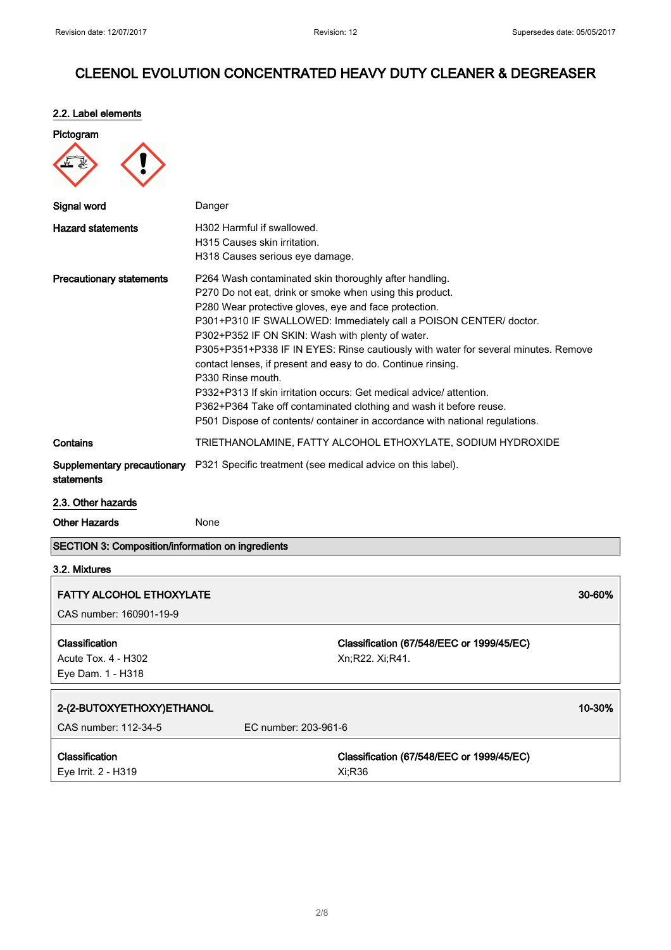### 2.2. Label elements

| Pictogram                                                |                                                                                                                                                                                                                                                                                                                                                                                                                                                                                                                                                                                                                                                                                                             |
|----------------------------------------------------------|-------------------------------------------------------------------------------------------------------------------------------------------------------------------------------------------------------------------------------------------------------------------------------------------------------------------------------------------------------------------------------------------------------------------------------------------------------------------------------------------------------------------------------------------------------------------------------------------------------------------------------------------------------------------------------------------------------------|
| Signal word                                              | Danger                                                                                                                                                                                                                                                                                                                                                                                                                                                                                                                                                                                                                                                                                                      |
| <b>Hazard statements</b>                                 | H302 Harmful if swallowed.<br>H315 Causes skin irritation.<br>H318 Causes serious eye damage.                                                                                                                                                                                                                                                                                                                                                                                                                                                                                                                                                                                                               |
| <b>Precautionary statements</b>                          | P264 Wash contaminated skin thoroughly after handling.<br>P270 Do not eat, drink or smoke when using this product.<br>P280 Wear protective gloves, eye and face protection.<br>P301+P310 IF SWALLOWED: Immediately call a POISON CENTER/ doctor.<br>P302+P352 IF ON SKIN: Wash with plenty of water.<br>P305+P351+P338 IF IN EYES: Rinse cautiously with water for several minutes. Remove<br>contact lenses, if present and easy to do. Continue rinsing.<br>P330 Rinse mouth.<br>P332+P313 If skin irritation occurs: Get medical advice/attention.<br>P362+P364 Take off contaminated clothing and wash it before reuse.<br>P501 Dispose of contents/ container in accordance with national regulations. |
| Contains                                                 | TRIETHANOLAMINE, FATTY ALCOHOL ETHOXYLATE, SODIUM HYDROXIDE                                                                                                                                                                                                                                                                                                                                                                                                                                                                                                                                                                                                                                                 |
| statements                                               | <b>Supplementary precautionary</b> P321 Specific treatment (see medical advice on this label).                                                                                                                                                                                                                                                                                                                                                                                                                                                                                                                                                                                                              |
| 2.3. Other hazards                                       |                                                                                                                                                                                                                                                                                                                                                                                                                                                                                                                                                                                                                                                                                                             |
| <b>Other Hazards</b>                                     | None                                                                                                                                                                                                                                                                                                                                                                                                                                                                                                                                                                                                                                                                                                        |
| <b>SECTION 3: Composition/information on ingredients</b> |                                                                                                                                                                                                                                                                                                                                                                                                                                                                                                                                                                                                                                                                                                             |

# 3.2. Mixtures

| <b>FATTY ALCOHOL ETHOXYLATE</b>                                   |                                                              | 30-60% |
|-------------------------------------------------------------------|--------------------------------------------------------------|--------|
| CAS number: 160901-19-9                                           |                                                              |        |
| <b>Classification</b><br>Acute Tox. 4 - H302<br>Eye Dam. 1 - H318 | Classification (67/548/EEC or 1999/45/EC)<br>Xn;R22. Xi;R41. |        |
| 2-(2-BUTOXYETHOXY)ETHANOL                                         |                                                              | 10-30% |
| CAS number: 112-34-5                                              | EC number: 203-961-6                                         |        |
| <b>Classification</b><br>Eye Irrit. 2 - H319                      | Classification (67/548/EEC or 1999/45/EC)<br>Xi:R36          |        |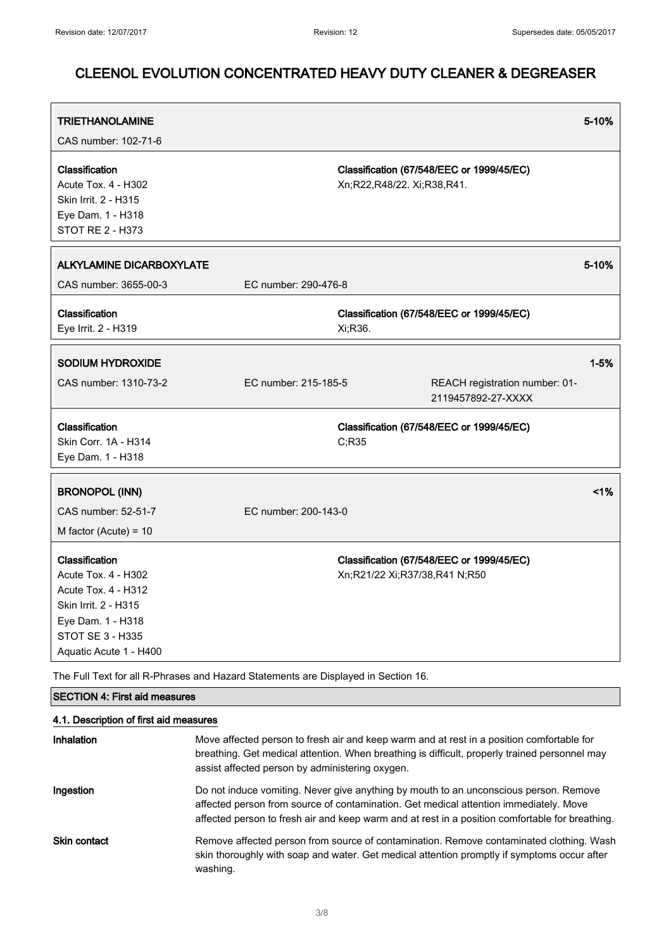| <b>TRIETHANOLAMINE</b><br>CAS number: 102-71-6                                                                                                                        |                      |                                                                            | 5-10%    |
|-----------------------------------------------------------------------------------------------------------------------------------------------------------------------|----------------------|----------------------------------------------------------------------------|----------|
| Classification<br>Acute Tox. 4 - H302<br>Skin Irrit. 2 - H315<br>Eye Dam. 1 - H318<br>STOT RE 2 - H373                                                                |                      | Classification (67/548/EEC or 1999/45/EC)<br>Xn;R22,R48/22. Xi;R38,R41.    |          |
| <b>ALKYLAMINE DICARBOXYLATE</b><br>CAS number: 3655-00-3                                                                                                              | EC number: 290-476-8 |                                                                            | 5-10%    |
| Classification<br>Eye Irrit. 2 - H319                                                                                                                                 |                      | Classification (67/548/EEC or 1999/45/EC)<br>Xi;R36.                       |          |
| <b>SODIUM HYDROXIDE</b><br>CAS number: 1310-73-2                                                                                                                      | EC number: 215-185-5 | REACH registration number: 01-<br>2119457892-27-XXXX                       | $1 - 5%$ |
| Classification<br>Skin Corr. 1A - H314<br>Eye Dam. 1 - H318                                                                                                           |                      | Classification (67/548/EEC or 1999/45/EC)<br>C;R35                         |          |
| <b>BRONOPOL (INN)</b><br>CAS number: 52-51-7<br>M factor (Acute) = $10$                                                                                               | EC number: 200-143-0 |                                                                            | 1%       |
| Classification<br>Acute Tox. 4 - H302<br><b>Acute Tox. 4 - H312</b><br>Skin Irrit. 2 - H315<br>Eye Dam. 1 - H318<br><b>STOT SE 3 - H335</b><br>Aquatic Acute 1 - H400 |                      | Classification (67/548/EEC or 1999/45/EC)<br>Xn;R21/22 Xi;R37/38,R41 N;R50 |          |

The Full Text for all R-Phrases and Hazard Statements are Displayed in Section 16.

## SECTION 4: First aid measures 4.1. Description of first aid measures Inhalation Move affected person to fresh air and keep warm and at rest in a position comfortable for breathing. Get medical attention. When breathing is difficult, properly trained personnel may assist affected person by administering oxygen. Ingestion **Do not induce vomiting. Never give anything by mouth to an unconscious person. Remove** affected person from source of contamination. Get medical attention immediately. Move affected person to fresh air and keep warm and at rest in a position comfortable for breathing. Skin contact Remove affected person from source of contamination. Remove contaminated clothing. Wash skin thoroughly with soap and water. Get medical attention promptly if symptoms occur after washing.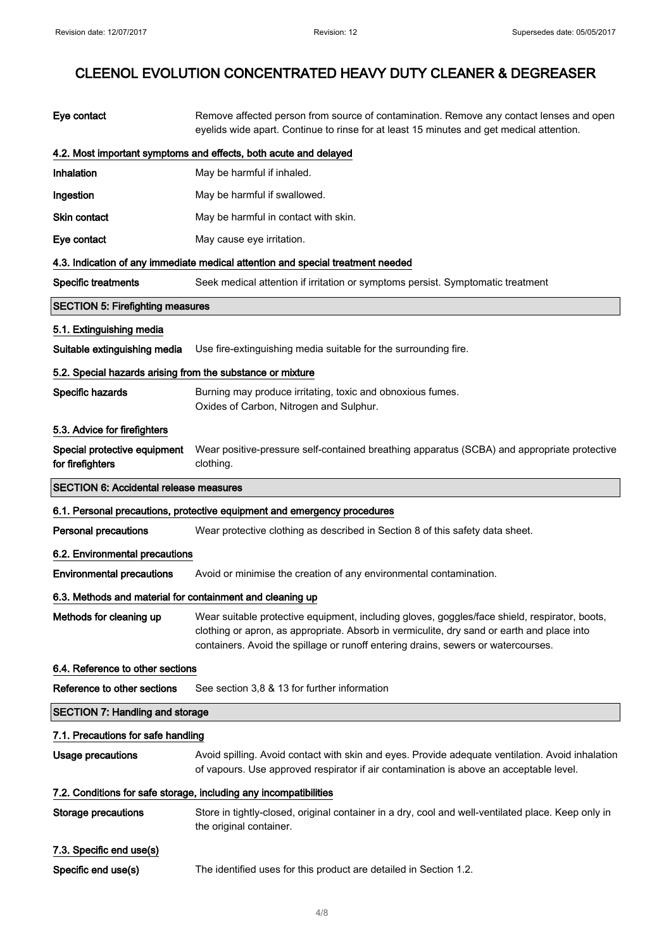| Eye contact                                                | Remove affected person from source of contamination. Remove any contact lenses and open<br>eyelids wide apart. Continue to rinse for at least 15 minutes and get medical attention.                                                                                              |  |  |
|------------------------------------------------------------|----------------------------------------------------------------------------------------------------------------------------------------------------------------------------------------------------------------------------------------------------------------------------------|--|--|
|                                                            | 4.2. Most important symptoms and effects, both acute and delayed                                                                                                                                                                                                                 |  |  |
| Inhalation                                                 | May be harmful if inhaled.                                                                                                                                                                                                                                                       |  |  |
| Ingestion                                                  | May be harmful if swallowed.                                                                                                                                                                                                                                                     |  |  |
| <b>Skin contact</b>                                        | May be harmful in contact with skin.                                                                                                                                                                                                                                             |  |  |
| Eye contact                                                | May cause eye irritation.                                                                                                                                                                                                                                                        |  |  |
|                                                            | 4.3. Indication of any immediate medical attention and special treatment needed                                                                                                                                                                                                  |  |  |
| <b>Specific treatments</b>                                 | Seek medical attention if irritation or symptoms persist. Symptomatic treatment                                                                                                                                                                                                  |  |  |
| <b>SECTION 5: Firefighting measures</b>                    |                                                                                                                                                                                                                                                                                  |  |  |
| 5.1. Extinguishing media                                   |                                                                                                                                                                                                                                                                                  |  |  |
| Suitable extinguishing media                               | Use fire-extinguishing media suitable for the surrounding fire.                                                                                                                                                                                                                  |  |  |
| 5.2. Special hazards arising from the substance or mixture |                                                                                                                                                                                                                                                                                  |  |  |
| Specific hazards                                           | Burning may produce irritating, toxic and obnoxious fumes.<br>Oxides of Carbon, Nitrogen and Sulphur.                                                                                                                                                                            |  |  |
| 5.3. Advice for firefighters                               |                                                                                                                                                                                                                                                                                  |  |  |
| Special protective equipment<br>for firefighters           | Wear positive-pressure self-contained breathing apparatus (SCBA) and appropriate protective<br>clothing.                                                                                                                                                                         |  |  |
| <b>SECTION 6: Accidental release measures</b>              |                                                                                                                                                                                                                                                                                  |  |  |
|                                                            |                                                                                                                                                                                                                                                                                  |  |  |
|                                                            | 6.1. Personal precautions, protective equipment and emergency procedures                                                                                                                                                                                                         |  |  |
| <b>Personal precautions</b>                                | Wear protective clothing as described in Section 8 of this safety data sheet.                                                                                                                                                                                                    |  |  |
| 6.2. Environmental precautions                             |                                                                                                                                                                                                                                                                                  |  |  |
| <b>Environmental precautions</b>                           | Avoid or minimise the creation of any environmental contamination.                                                                                                                                                                                                               |  |  |
| 6.3. Methods and material for containment and cleaning up  |                                                                                                                                                                                                                                                                                  |  |  |
| Methods for cleaning up                                    | Wear suitable protective equipment, including gloves, goggles/face shield, respirator, boots,<br>clothing or apron, as appropriate. Absorb in vermiculite, dry sand or earth and place into<br>containers. Avoid the spillage or runoff entering drains, sewers or watercourses. |  |  |
| 6.4. Reference to other sections                           |                                                                                                                                                                                                                                                                                  |  |  |
| Reference to other sections                                | See section 3,8 & 13 for further information                                                                                                                                                                                                                                     |  |  |
| <b>SECTION 7: Handling and storage</b>                     |                                                                                                                                                                                                                                                                                  |  |  |
| 7.1. Precautions for safe handling                         |                                                                                                                                                                                                                                                                                  |  |  |
| <b>Usage precautions</b>                                   | Avoid spilling. Avoid contact with skin and eyes. Provide adequate ventilation. Avoid inhalation<br>of vapours. Use approved respirator if air contamination is above an acceptable level.                                                                                       |  |  |
|                                                            | 7.2. Conditions for safe storage, including any incompatibilities                                                                                                                                                                                                                |  |  |
| <b>Storage precautions</b>                                 | Store in tightly-closed, original container in a dry, cool and well-ventilated place. Keep only in<br>the original container.                                                                                                                                                    |  |  |
| 7.3. Specific end use(s)                                   |                                                                                                                                                                                                                                                                                  |  |  |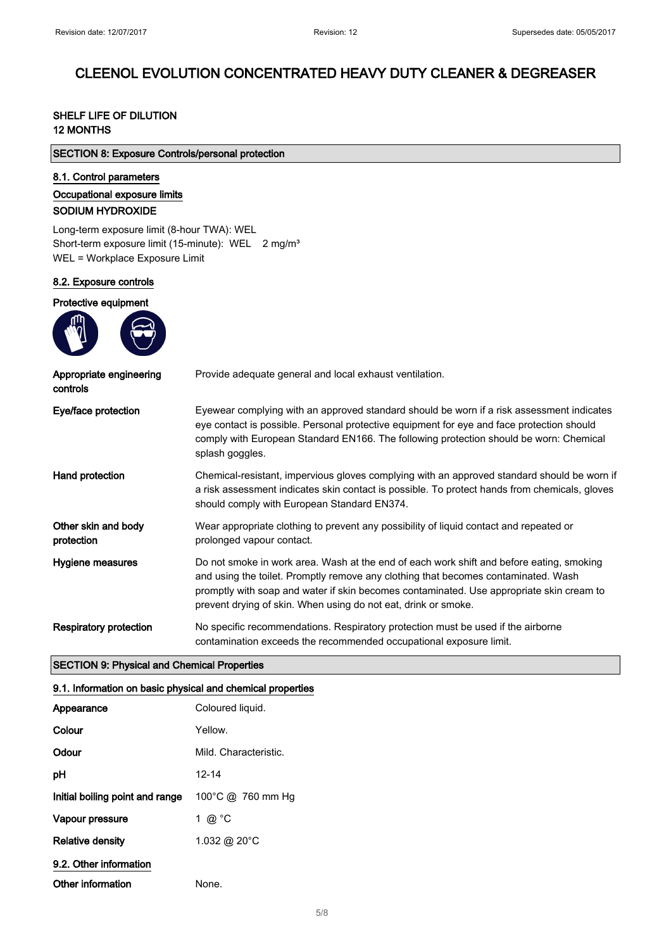### SHELF LIFE OF DILUTION 12 MONTHS

| <b>SECTION 8: Exposure Controls/personal protection</b> |  |  |  |  |
|---------------------------------------------------------|--|--|--|--|
|---------------------------------------------------------|--|--|--|--|

### 8.1. Control parameters

### Occupational exposure limits

#### SODIUM HYDROXIDE

Long-term exposure limit (8-hour TWA): WEL Short-term exposure limit (15-minute): WEL 2 mg/m<sup>3</sup> WEL = Workplace Exposure Limit

#### 8.2. Exposure controls

#### Protective equipment



| Appropriate engineering<br>controls | Provide adequate general and local exhaust ventilation.                                                                                                                                                                                                                                                                                      |
|-------------------------------------|----------------------------------------------------------------------------------------------------------------------------------------------------------------------------------------------------------------------------------------------------------------------------------------------------------------------------------------------|
| Eye/face protection                 | Eyewear complying with an approved standard should be worn if a risk assessment indicates<br>eye contact is possible. Personal protective equipment for eye and face protection should<br>comply with European Standard EN166. The following protection should be worn: Chemical<br>splash goggles.                                          |
| Hand protection                     | Chemical-resistant, impervious gloves complying with an approved standard should be worn if<br>a risk assessment indicates skin contact is possible. To protect hands from chemicals, gloves<br>should comply with European Standard EN374.                                                                                                  |
| Other skin and body<br>protection   | Wear appropriate clothing to prevent any possibility of liquid contact and repeated or<br>prolonged vapour contact.                                                                                                                                                                                                                          |
| Hygiene measures                    | Do not smoke in work area. Wash at the end of each work shift and before eating, smoking<br>and using the toilet. Promptly remove any clothing that becomes contaminated. Wash<br>promptly with soap and water if skin becomes contaminated. Use appropriate skin cream to<br>prevent drying of skin. When using do not eat, drink or smoke. |
| Respiratory protection              | No specific recommendations. Respiratory protection must be used if the airborne<br>contamination exceeds the recommended occupational exposure limit.                                                                                                                                                                                       |

#### SECTION 9: Physical and Chemical Properties

### 9.1. Information on basic physical and chemical properties

| Appearance                      | Coloured liquid.        |
|---------------------------------|-------------------------|
| Colour                          | Yellow.                 |
| Odour                           | Mild. Characteristic.   |
| рH                              | 12-14                   |
| Initial boiling point and range | 100°C @ 760 mm Hg       |
| Vapour pressure                 | 1 @ °C                  |
| <b>Relative density</b>         | 1.032 @ 20 $^{\circ}$ C |
| 9.2. Other information          |                         |
| Other information               | None.                   |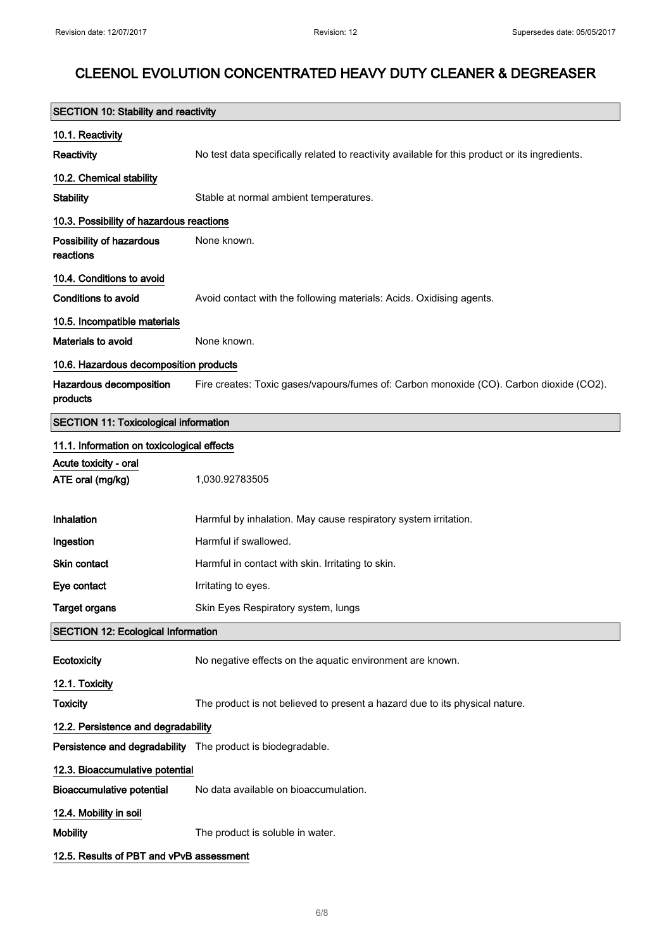| <b>SECTION 10: Stability and reactivity</b>  |                                                                                                |
|----------------------------------------------|------------------------------------------------------------------------------------------------|
| 10.1. Reactivity                             |                                                                                                |
| Reactivity                                   | No test data specifically related to reactivity available for this product or its ingredients. |
| 10.2. Chemical stability                     |                                                                                                |
| <b>Stability</b>                             | Stable at normal ambient temperatures.                                                         |
| 10.3. Possibility of hazardous reactions     |                                                                                                |
| Possibility of hazardous<br>reactions        | None known.                                                                                    |
| 10.4. Conditions to avoid                    |                                                                                                |
| <b>Conditions to avoid</b>                   | Avoid contact with the following materials: Acids. Oxidising agents.                           |
| 10.5. Incompatible materials                 |                                                                                                |
| <b>Materials to avoid</b>                    | None known.                                                                                    |
| 10.6. Hazardous decomposition products       |                                                                                                |
| Hazardous decomposition<br>products          | Fire creates: Toxic gases/vapours/fumes of: Carbon monoxide (CO). Carbon dioxide (CO2).        |
| <b>SECTION 11: Toxicological information</b> |                                                                                                |
| 11.1. Information on toxicological effects   |                                                                                                |
| Acute toxicity - oral<br>ATE oral (mg/kg)    | 1,030.92783505                                                                                 |
| Inhalation                                   | Harmful by inhalation. May cause respiratory system irritation.                                |
| Ingestion                                    | Harmful if swallowed.                                                                          |
| Skin contact                                 | Harmful in contact with skin. Irritating to skin.                                              |
| Eye contact                                  | Irritating to eyes.                                                                            |
| Target organs                                | Skin Eyes Respiratory system, lungs                                                            |
| <b>SECTION 12: Ecological Information</b>    |                                                                                                |
| Ecotoxicity                                  | No negative effects on the aquatic environment are known.                                      |
| 12.1. Toxicity                               |                                                                                                |
| <b>Toxicity</b>                              | The product is not believed to present a hazard due to its physical nature.                    |
| 12.2. Persistence and degradability          |                                                                                                |
|                                              | Persistence and degradability The product is biodegradable.                                    |
| 12.3. Bioaccumulative potential              |                                                                                                |
| <b>Bioaccumulative potential</b>             | No data available on bioaccumulation.                                                          |
| 12.4. Mobility in soil                       |                                                                                                |
| <b>Mobility</b>                              | The product is soluble in water.                                                               |
| 12.5. Results of PBT and vPvB assessment     |                                                                                                |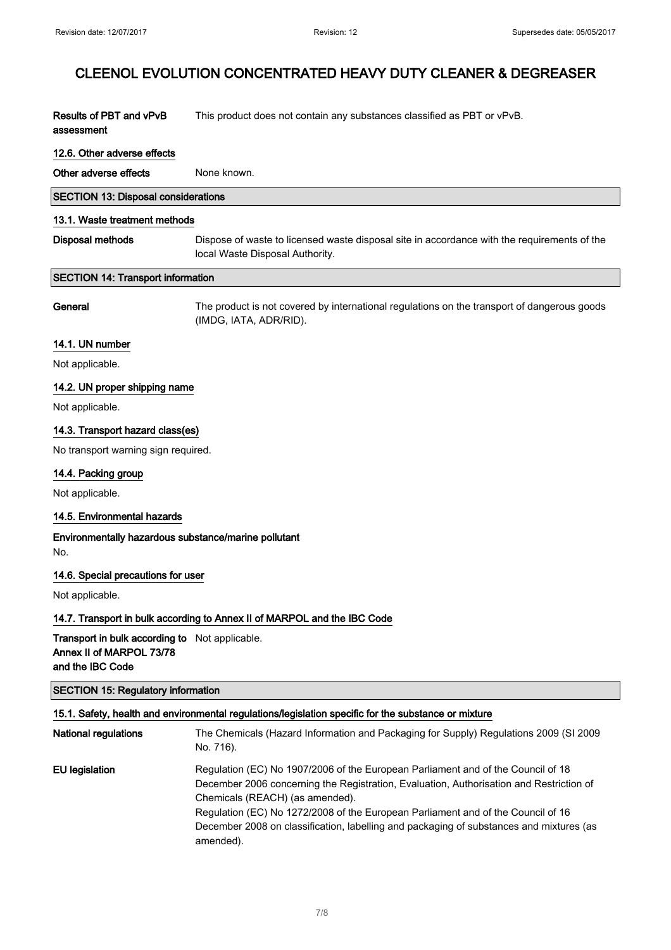| Results of PBT and vPvB | This product does not contain any substances classified as PBT or vPvB. |
|-------------------------|-------------------------------------------------------------------------|
| assessment              |                                                                         |

#### 12.6. Other adverse effects

Other adverse effects None known.

|  |  | <b>SECTION 13: Disposal considerations</b> |
|--|--|--------------------------------------------|
|--|--|--------------------------------------------|

#### 13.1. Waste treatment methods

Disposal methods Dispose of waste to licensed waste disposal site in accordance with the requirements of the local Waste Disposal Authority.

#### SECTION 14: Transport information

General The product is not covered by international regulations on the transport of dangerous goods (IMDG, IATA, ADR/RID).

#### 14.1. UN number

Not applicable.

#### 14.2. UN proper shipping name

Not applicable.

#### 14.3. Transport hazard class(es)

No transport warning sign required.

#### 14.4. Packing group

Not applicable.

#### 14.5. Environmental hazards

Environmentally hazardous substance/marine pollutant No.

#### 14.6. Special precautions for user

Not applicable.

#### 14.7. Transport in bulk according to Annex II of MARPOL and the IBC Code

Transport in bulk according to Not applicable. Annex II of MARPOL 73/78 and the IBC Code

### SECTION 15: Regulatory information

#### 15.1. Safety, health and environmental regulations/legislation specific for the substance or mixture

| <b>National regulations</b> | The Chemicals (Hazard Information and Packaging for Supply) Regulations 2009 (SI 2009<br>No. 716).                                                                                                             |
|-----------------------------|----------------------------------------------------------------------------------------------------------------------------------------------------------------------------------------------------------------|
| <b>EU</b> legislation       | Regulation (EC) No 1907/2006 of the European Parliament and of the Council of 18<br>December 2006 concerning the Registration, Evaluation, Authorisation and Restriction of<br>Chemicals (REACH) (as amended). |
|                             | Regulation (EC) No 1272/2008 of the European Parliament and of the Council of 16<br>December 2008 on classification, labelling and packaging of substances and mixtures (as<br>amended).                       |